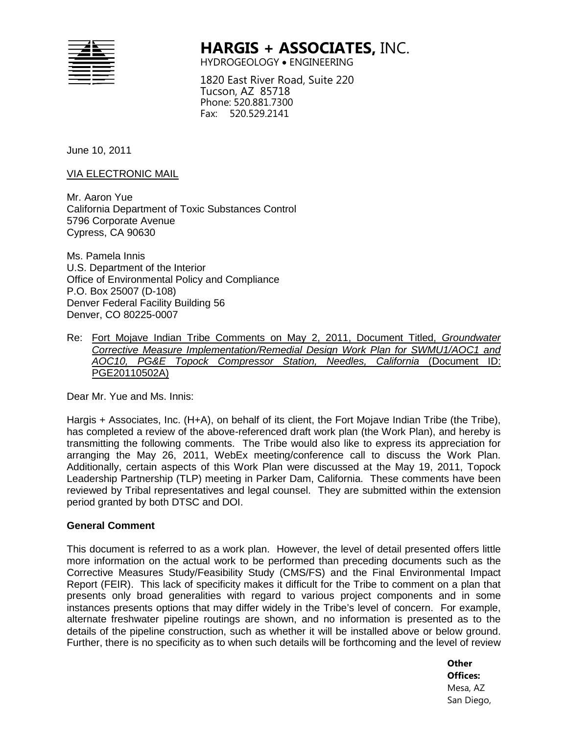

## **HARGIS + ASSOCIATES,** INC.

HYDROGEOLOGY • ENGINEERING

1820 East River Road, Suite 220 Tucson, AZ 85718 Phone: 520.881.7300 Fax: 520.529.2141

June 10, 2011

VIA ELECTRONIC MAIL

Mr. Aaron Yue California Department of Toxic Substances Control 5796 Corporate Avenue Cypress, CA 90630

Ms. Pamela Innis U.S. Department of the Interior Office of Environmental Policy and Compliance P.O. Box 25007 (D-108) Denver Federal Facility Building 56 Denver, CO 80225-0007

Re: Fort Mojave Indian Tribe Comments on May 2, 2011, Document Titled, *Groundwater Corrective Measure Implementation/Remedial Design Work Plan for SWMU1/AOC1 and AOC10, PG&E Topock Compressor Station, Needles, California* (Document ID: PGE20110502A)

Dear Mr. Yue and Ms. Innis:

Hargis + Associates, Inc. (H+A), on behalf of its client, the Fort Mojave Indian Tribe (the Tribe), has completed a review of the above-referenced draft work plan (the Work Plan), and hereby is transmitting the following comments. The Tribe would also like to express its appreciation for arranging the May 26, 2011, WebEx meeting/conference call to discuss the Work Plan. Additionally, certain aspects of this Work Plan were discussed at the May 19, 2011, Topock Leadership Partnership (TLP) meeting in Parker Dam, California. These comments have been reviewed by Tribal representatives and legal counsel. They are submitted within the extension period granted by both DTSC and DOI.

## **General Comment**

This document is referred to as a work plan. However, the level of detail presented offers little more information on the actual work to be performed than preceding documents such as the Corrective Measures Study/Feasibility Study (CMS/FS) and the Final Environmental Impact Report (FEIR). This lack of specificity makes it difficult for the Tribe to comment on a plan that presents only broad generalities with regard to various project components and in some instances presents options that may differ widely in the Tribe's level of concern. For example, alternate freshwater pipeline routings are shown, and no information is presented as to the details of the pipeline construction, such as whether it will be installed above or below ground. Further, there is no specificity as to when such details will be forthcoming and the level of review

> **Other Offices:** Mesa, AZ San Diego,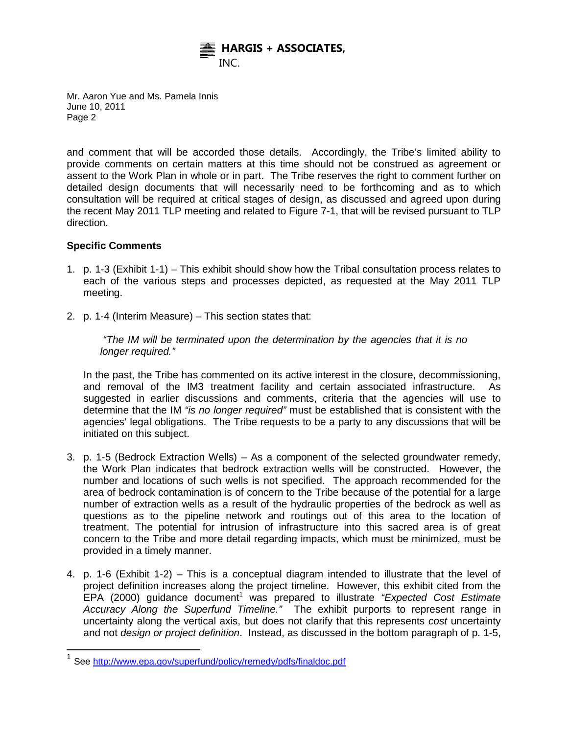

and comment that will be accorded those details. Accordingly, the Tribe's limited ability to provide comments on certain matters at this time should not be construed as agreement or assent to the Work Plan in whole or in part. The Tribe reserves the right to comment further on detailed design documents that will necessarily need to be forthcoming and as to which consultation will be required at critical stages of design, as discussed and agreed upon during the recent May 2011 TLP meeting and related to Figure 7-1, that will be revised pursuant to TLP direction.

## **Specific Comments**

- 1. p. 1-3 (Exhibit 1-1) This exhibit should show how the Tribal consultation process relates to each of the various steps and processes depicted, as requested at the May 2011 TLP meeting.
- 2. p. 1-4 (Interim Measure) This section states that:

*"The IM will be terminated upon the determination by the agencies that it is no longer required."* 

In the past, the Tribe has commented on its active interest in the closure, decommissioning, and removal of the IM3 treatment facility and certain associated infrastructure. As suggested in earlier discussions and comments, criteria that the agencies will use to determine that the IM *"is no longer required"* must be established that is consistent with the agencies' legal obligations. The Tribe requests to be a party to any discussions that will be initiated on this subject.

- 3. p. 1-5 (Bedrock Extraction Wells) As a component of the selected groundwater remedy, the Work Plan indicates that bedrock extraction wells will be constructed. However, the number and locations of such wells is not specified. The approach recommended for the area of bedrock contamination is of concern to the Tribe because of the potential for a large number of extraction wells as a result of the hydraulic properties of the bedrock as well as questions as to the pipeline network and routings out of this area to the location of treatment. The potential for intrusion of infrastructure into this sacred area is of great concern to the Tribe and more detail regarding impacts, which must be minimized, must be provided in a timely manner.
- 4. p. 1-6 (Exhibit 1-2) This is a conceptual diagram intended to illustrate that the level of project definition increases along the project timeline. However, this exhibit cited from the EPA (2000) guidance document<sup>1</sup> was prepared to illustrate "Expected Cost Estimate *Accuracy Along the Superfund Timeline."* The exhibit purports to represent range in uncertainty along the vertical axis, but does not clarify that this represents *cost* uncertainty and not *design or project definition*. Instead, as discussed in the bottom paragraph of p. 1-5,

<sup>&</sup>lt;sup>1</sup> See<http://www.epa.gov/superfund/policy/remedy/pdfs/finaldoc.pdf>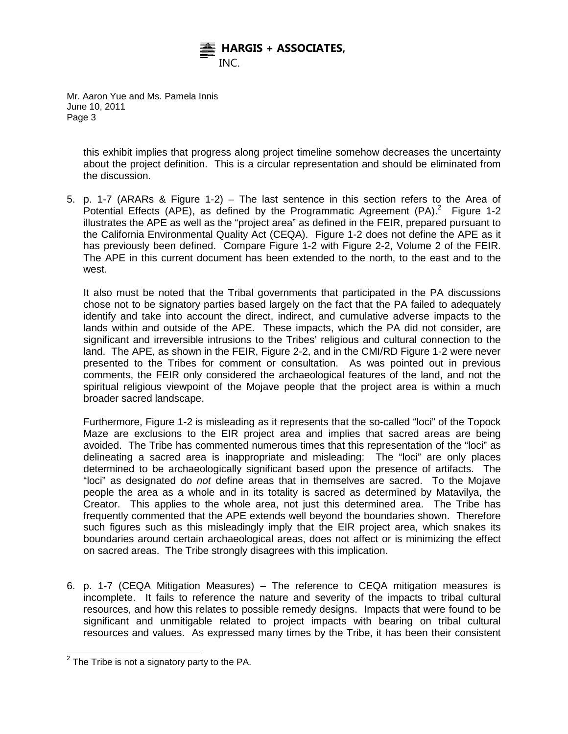

> this exhibit implies that progress along project timeline somehow decreases the uncertainty about the project definition. This is a circular representation and should be eliminated from the discussion.

5. p. 1-7 (ARARs & Figure 1-2) – The last sentence in this section refers to the Area of Potential Effects (APE), as defined by the Programmatic Agreement  $(PA)^2$  Figure 1-2 illustrates the APE as well as the "project area" as defined in the FEIR, prepared pursuant to the California Environmental Quality Act (CEQA). Figure 1-2 does not define the APE as it has previously been defined. Compare Figure 1-2 with Figure 2-2, Volume 2 of the FEIR. The APE in this current document has been extended to the north, to the east and to the west.

It also must be noted that the Tribal governments that participated in the PA discussions chose not to be signatory parties based largely on the fact that the PA failed to adequately identify and take into account the direct, indirect, and cumulative adverse impacts to the lands within and outside of the APE. These impacts, which the PA did not consider, are significant and irreversible intrusions to the Tribes' religious and cultural connection to the land. The APE, as shown in the FEIR, Figure 2-2, and in the CMI/RD Figure 1-2 were never presented to the Tribes for comment or consultation. As was pointed out in previous comments, the FEIR only considered the archaeological features of the land, and not the spiritual religious viewpoint of the Mojave people that the project area is within a much broader sacred landscape.

Furthermore, Figure 1-2 is misleading as it represents that the so-called "loci" of the Topock Maze are exclusions to the EIR project area and implies that sacred areas are being avoided. The Tribe has commented numerous times that this representation of the "loci" as delineating a sacred area is inappropriate and misleading: The "loci" are only places determined to be archaeologically significant based upon the presence of artifacts. The "loci" as designated do *not* define areas that in themselves are sacred. To the Mojave people the area as a whole and in its totality is sacred as determined by Matavilya, the Creator. This applies to the whole area, not just this determined area. The Tribe has frequently commented that the APE extends well beyond the boundaries shown. Therefore such figures such as this misleadingly imply that the EIR project area, which snakes its boundaries around certain archaeological areas, does not affect or is minimizing the effect on sacred areas. The Tribe strongly disagrees with this implication.

6. p. 1-7 (CEQA Mitigation Measures) – The reference to CEQA mitigation measures is incomplete. It fails to reference the nature and severity of the impacts to tribal cultural resources, and how this relates to possible remedy designs. Impacts that were found to be significant and unmitigable related to project impacts with bearing on tribal cultural resources and values. As expressed many times by the Tribe, it has been their consistent

 $2$  The Tribe is not a signatory party to the PA.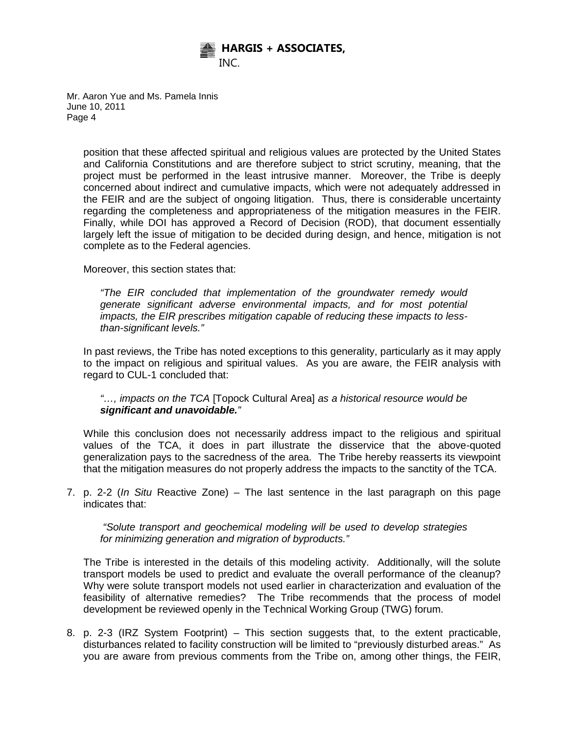

> position that these affected spiritual and religious values are protected by the United States and California Constitutions and are therefore subject to strict scrutiny, meaning, that the project must be performed in the least intrusive manner. Moreover, the Tribe is deeply concerned about indirect and cumulative impacts, which were not adequately addressed in the FEIR and are the subject of ongoing litigation. Thus, there is considerable uncertainty regarding the completeness and appropriateness of the mitigation measures in the FEIR. Finally, while DOI has approved a Record of Decision (ROD), that document essentially largely left the issue of mitigation to be decided during design, and hence, mitigation is not complete as to the Federal agencies.

Moreover, this section states that:

*"The EIR concluded that implementation of the groundwater remedy would generate significant adverse environmental impacts, and for most potential impacts, the EIR prescribes mitigation capable of reducing these impacts to lessthan-significant levels."* 

In past reviews, the Tribe has noted exceptions to this generality, particularly as it may apply to the impact on religious and spiritual values. As you are aware, the FEIR analysis with regard to CUL-1 concluded that:

*"…, impacts on the TCA* [Topock Cultural Area] *as a historical resource would be significant and unavoidable."*

While this conclusion does not necessarily address impact to the religious and spiritual values of the TCA, it does in part illustrate the disservice that the above-quoted generalization pays to the sacredness of the area. The Tribe hereby reasserts its viewpoint that the mitigation measures do not properly address the impacts to the sanctity of the TCA.

7. p. 2-2 (*In Situ* Reactive Zone) – The last sentence in the last paragraph on this page indicates that:

*"Solute transport and geochemical modeling will be used to develop strategies for minimizing generation and migration of byproducts."* 

The Tribe is interested in the details of this modeling activity. Additionally, will the solute transport models be used to predict and evaluate the overall performance of the cleanup? Why were solute transport models not used earlier in characterization and evaluation of the feasibility of alternative remedies? The Tribe recommends that the process of model development be reviewed openly in the Technical Working Group (TWG) forum.

8. p. 2-3 (IRZ System Footprint) – This section suggests that, to the extent practicable, disturbances related to facility construction will be limited to "previously disturbed areas." As you are aware from previous comments from the Tribe on, among other things, the FEIR,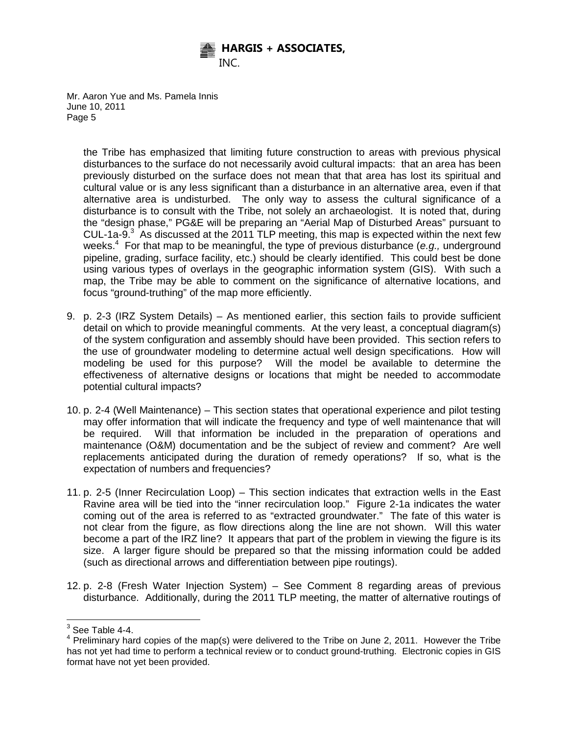

> the Tribe has emphasized that limiting future construction to areas with previous physical disturbances to the surface do not necessarily avoid cultural impacts: that an area has been previously disturbed on the surface does not mean that that area has lost its spiritual and cultural value or is any less significant than a disturbance in an alternative area, even if that alternative area is undisturbed. The only way to assess the cultural significance of a disturbance is to consult with the Tribe, not solely an archaeologist. It is noted that, during the "design phase," PG&E will be preparing an "Aerial Map of Disturbed Areas" pursuant to CUL-1a-9. $3$  As discussed at the 2011 TLP meeting, this map is expected within the next few weeks.4 For that map to be meaningful, the type of previous disturbance (*e.g.,* underground pipeline, grading, surface facility, etc.) should be clearly identified. This could best be done using various types of overlays in the geographic information system (GIS). With such a map, the Tribe may be able to comment on the significance of alternative locations, and focus "ground-truthing" of the map more efficiently.

- 9. p. 2-3 (IRZ System Details) As mentioned earlier, this section fails to provide sufficient detail on which to provide meaningful comments. At the very least, a conceptual diagram(s) of the system configuration and assembly should have been provided. This section refers to the use of groundwater modeling to determine actual well design specifications. How will modeling be used for this purpose? Will the model be available to determine the effectiveness of alternative designs or locations that might be needed to accommodate potential cultural impacts?
- 10. p. 2-4 (Well Maintenance) This section states that operational experience and pilot testing may offer information that will indicate the frequency and type of well maintenance that will be required. Will that information be included in the preparation of operations and maintenance (O&M) documentation and be the subject of review and comment? Are well replacements anticipated during the duration of remedy operations? If so, what is the expectation of numbers and frequencies?
- 11. p. 2-5 (Inner Recirculation Loop) This section indicates that extraction wells in the East Ravine area will be tied into the "inner recirculation loop." Figure 2-1a indicates the water coming out of the area is referred to as "extracted groundwater." The fate of this water is not clear from the figure, as flow directions along the line are not shown. Will this water become a part of the IRZ line? It appears that part of the problem in viewing the figure is its size. A larger figure should be prepared so that the missing information could be added (such as directional arrows and differentiation between pipe routings).
- 12. p. 2-8 (Fresh Water Injection System) See Comment 8 regarding areas of previous disturbance. Additionally, during the 2011 TLP meeting, the matter of alternative routings of

 $3$  See Table 4-4.

 $4$  Preliminary hard copies of the map(s) were delivered to the Tribe on June 2, 2011. However the Tribe has not yet had time to perform a technical review or to conduct ground-truthing. Electronic copies in GIS format have not yet been provided.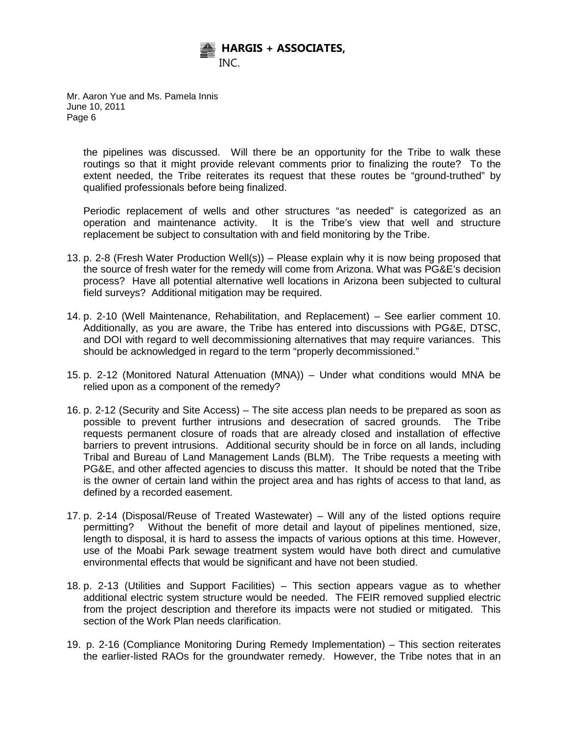

> the pipelines was discussed. Will there be an opportunity for the Tribe to walk these routings so that it might provide relevant comments prior to finalizing the route? To the extent needed, the Tribe reiterates its request that these routes be "ground-truthed" by qualified professionals before being finalized.

> Periodic replacement of wells and other structures "as needed" is categorized as an operation and maintenance activity. It is the Tribe's view that well and structure replacement be subject to consultation with and field monitoring by the Tribe.

- 13. p. 2-8 (Fresh Water Production Well(s)) Please explain why it is now being proposed that the source of fresh water for the remedy will come from Arizona. What was PG&E's decision process? Have all potential alternative well locations in Arizona been subjected to cultural field surveys? Additional mitigation may be required.
- 14. p. 2-10 (Well Maintenance, Rehabilitation, and Replacement) See earlier comment 10. Additionally, as you are aware, the Tribe has entered into discussions with PG&E, DTSC, and DOI with regard to well decommissioning alternatives that may require variances. This should be acknowledged in regard to the term "properly decommissioned."
- 15. p. 2-12 (Monitored Natural Attenuation (MNA)) Under what conditions would MNA be relied upon as a component of the remedy?
- 16. p. 2-12 (Security and Site Access) The site access plan needs to be prepared as soon as possible to prevent further intrusions and desecration of sacred grounds. The Tribe requests permanent closure of roads that are already closed and installation of effective barriers to prevent intrusions. Additional security should be in force on all lands, including Tribal and Bureau of Land Management Lands (BLM). The Tribe requests a meeting with PG&E, and other affected agencies to discuss this matter. It should be noted that the Tribe is the owner of certain land within the project area and has rights of access to that land, as defined by a recorded easement.
- 17. p. 2-14 (Disposal/Reuse of Treated Wastewater) Will any of the listed options require permitting? Without the benefit of more detail and layout of pipelines mentioned, size, length to disposal, it is hard to assess the impacts of various options at this time. However, use of the Moabi Park sewage treatment system would have both direct and cumulative environmental effects that would be significant and have not been studied.
- 18. p. 2-13 (Utilities and Support Facilities) This section appears vague as to whether additional electric system structure would be needed. The FEIR removed supplied electric from the project description and therefore its impacts were not studied or mitigated. This section of the Work Plan needs clarification.
- 19. p. 2-16 (Compliance Monitoring During Remedy Implementation) This section reiterates the earlier-listed RAOs for the groundwater remedy. However, the Tribe notes that in an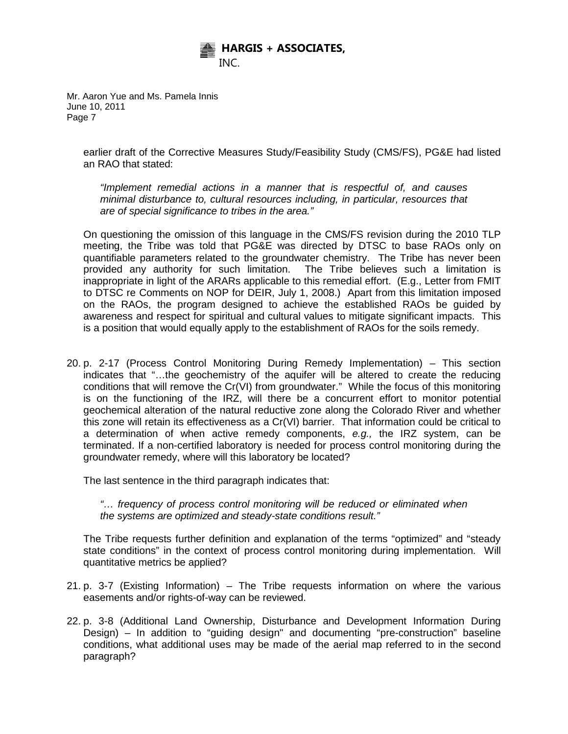

> earlier draft of the Corrective Measures Study/Feasibility Study (CMS/FS), PG&E had listed an RAO that stated:

*"Implement remedial actions in a manner that is respectful of, and causes minimal disturbance to, cultural resources including, in particular, resources that are of special significance to tribes in the area."*

On questioning the omission of this language in the CMS/FS revision during the 2010 TLP meeting, the Tribe was told that PG&E was directed by DTSC to base RAOs only on quantifiable parameters related to the groundwater chemistry. The Tribe has never been provided any authority for such limitation. The Tribe believes such a limitation is inappropriate in light of the ARARs applicable to this remedial effort. (E.g., Letter from FMIT to DTSC re Comments on NOP for DEIR, July 1, 2008.) Apart from this limitation imposed on the RAOs, the program designed to achieve the established RAOs be guided by awareness and respect for spiritual and cultural values to mitigate significant impacts. This is a position that would equally apply to the establishment of RAOs for the soils remedy.

20. p. 2-17 (Process Control Monitoring During Remedy Implementation) – This section indicates that "…the geochemistry of the aquifer will be altered to create the reducing conditions that will remove the Cr(VI) from groundwater." While the focus of this monitoring is on the functioning of the IRZ, will there be a concurrent effort to monitor potential geochemical alteration of the natural reductive zone along the Colorado River and whether this zone will retain its effectiveness as a Cr(VI) barrier. That information could be critical to a determination of when active remedy components, *e.g.,* the IRZ system, can be terminated. If a non-certified laboratory is needed for process control monitoring during the groundwater remedy, where will this laboratory be located?

The last sentence in the third paragraph indicates that:

*"… frequency of process control monitoring will be reduced or eliminated when the systems are optimized and steady-state conditions result."*

The Tribe requests further definition and explanation of the terms "optimized" and "steady state conditions" in the context of process control monitoring during implementation. Will quantitative metrics be applied?

- 21. p. 3-7 (Existing Information) The Tribe requests information on where the various easements and/or rights-of-way can be reviewed.
- 22. p. 3-8 (Additional Land Ownership, Disturbance and Development Information During Design) – In addition to "guiding design" and documenting "pre-construction" baseline conditions, what additional uses may be made of the aerial map referred to in the second paragraph?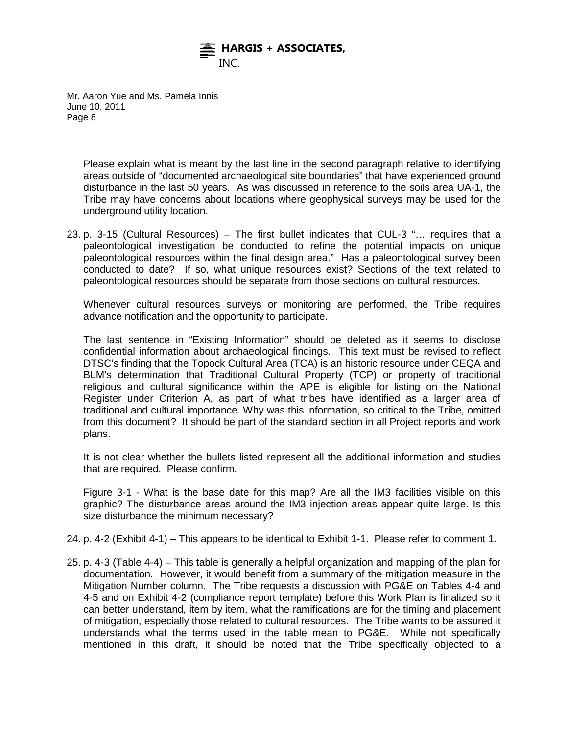

> Please explain what is meant by the last line in the second paragraph relative to identifying areas outside of "documented archaeological site boundaries" that have experienced ground disturbance in the last 50 years. As was discussed in reference to the soils area UA-1, the Tribe may have concerns about locations where geophysical surveys may be used for the underground utility location.

23. p. 3-15 (Cultural Resources) – The first bullet indicates that CUL-3 "… requires that a paleontological investigation be conducted to refine the potential impacts on unique paleontological resources within the final design area." Has a paleontological survey been conducted to date? If so, what unique resources exist? Sections of the text related to paleontological resources should be separate from those sections on cultural resources.

Whenever cultural resources surveys or monitoring are performed, the Tribe requires advance notification and the opportunity to participate.

The last sentence in "Existing Information" should be deleted as it seems to disclose confidential information about archaeological findings. This text must be revised to reflect DTSC's finding that the Topock Cultural Area (TCA) is an historic resource under CEQA and BLM's determination that Traditional Cultural Property (TCP) or property of traditional religious and cultural significance within the APE is eligible for listing on the National Register under Criterion A, as part of what tribes have identified as a larger area of traditional and cultural importance. Why was this information, so critical to the Tribe, omitted from this document? It should be part of the standard section in all Project reports and work plans.

It is not clear whether the bullets listed represent all the additional information and studies that are required. Please confirm.

Figure 3-1 - What is the base date for this map? Are all the IM3 facilities visible on this graphic? The disturbance areas around the IM3 injection areas appear quite large. Is this size disturbance the minimum necessary?

- 24. p. 4-2 (Exhibit 4-1) This appears to be identical to Exhibit 1-1. Please refer to comment 1.
- 25. p. 4-3 (Table 4-4) This table is generally a helpful organization and mapping of the plan for documentation. However, it would benefit from a summary of the mitigation measure in the Mitigation Number column. The Tribe requests a discussion with PG&E on Tables 4-4 and 4-5 and on Exhibit 4-2 (compliance report template) before this Work Plan is finalized so it can better understand, item by item, what the ramifications are for the timing and placement of mitigation, especially those related to cultural resources. The Tribe wants to be assured it understands what the terms used in the table mean to PG&E. While not specifically mentioned in this draft, it should be noted that the Tribe specifically objected to a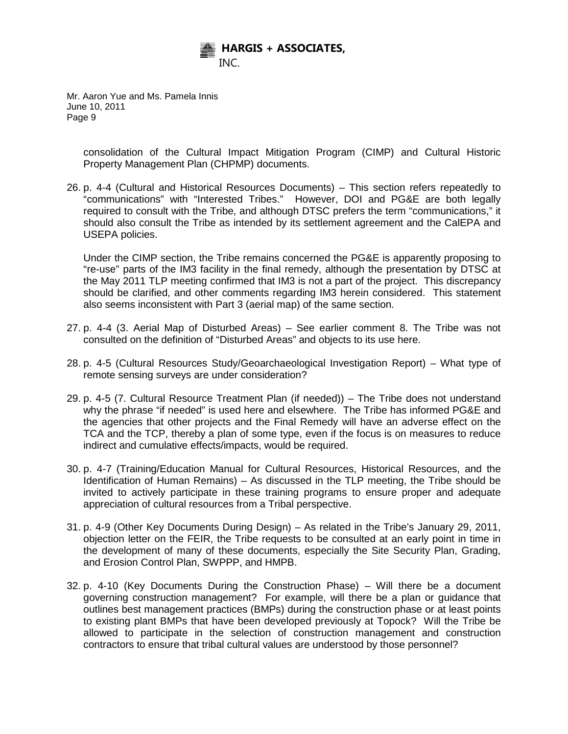

> consolidation of the Cultural Impact Mitigation Program (CIMP) and Cultural Historic Property Management Plan (CHPMP) documents.

26. p. 4-4 (Cultural and Historical Resources Documents) – This section refers repeatedly to "communications" with "Interested Tribes." However, DOI and PG&E are both legally required to consult with the Tribe, and although DTSC prefers the term "communications," it should also consult the Tribe as intended by its settlement agreement and the CalEPA and USEPA policies.

Under the CIMP section, the Tribe remains concerned the PG&E is apparently proposing to "re-use" parts of the IM3 facility in the final remedy, although the presentation by DTSC at the May 2011 TLP meeting confirmed that IM3 is not a part of the project. This discrepancy should be clarified, and other comments regarding IM3 herein considered. This statement also seems inconsistent with Part 3 (aerial map) of the same section.

- 27. p. 4-4 (3. Aerial Map of Disturbed Areas) See earlier comment 8. The Tribe was not consulted on the definition of "Disturbed Areas" and objects to its use here.
- 28. p. 4-5 (Cultural Resources Study/Geoarchaeological Investigation Report) What type of remote sensing surveys are under consideration?
- 29. p. 4-5 (7. Cultural Resource Treatment Plan (if needed)) The Tribe does not understand why the phrase "if needed" is used here and elsewhere. The Tribe has informed PG&E and the agencies that other projects and the Final Remedy will have an adverse effect on the TCA and the TCP, thereby a plan of some type, even if the focus is on measures to reduce indirect and cumulative effects/impacts, would be required.
- 30. p. 4-7 (Training/Education Manual for Cultural Resources, Historical Resources, and the Identification of Human Remains) – As discussed in the TLP meeting, the Tribe should be invited to actively participate in these training programs to ensure proper and adequate appreciation of cultural resources from a Tribal perspective.
- 31. p. 4-9 (Other Key Documents During Design) As related in the Tribe's January 29, 2011, objection letter on the FEIR, the Tribe requests to be consulted at an early point in time in the development of many of these documents, especially the Site Security Plan, Grading, and Erosion Control Plan, SWPPP, and HMPB.
- 32. p. 4-10 (Key Documents During the Construction Phase) Will there be a document governing construction management? For example, will there be a plan or guidance that outlines best management practices (BMPs) during the construction phase or at least points to existing plant BMPs that have been developed previously at Topock? Will the Tribe be allowed to participate in the selection of construction management and construction contractors to ensure that tribal cultural values are understood by those personnel?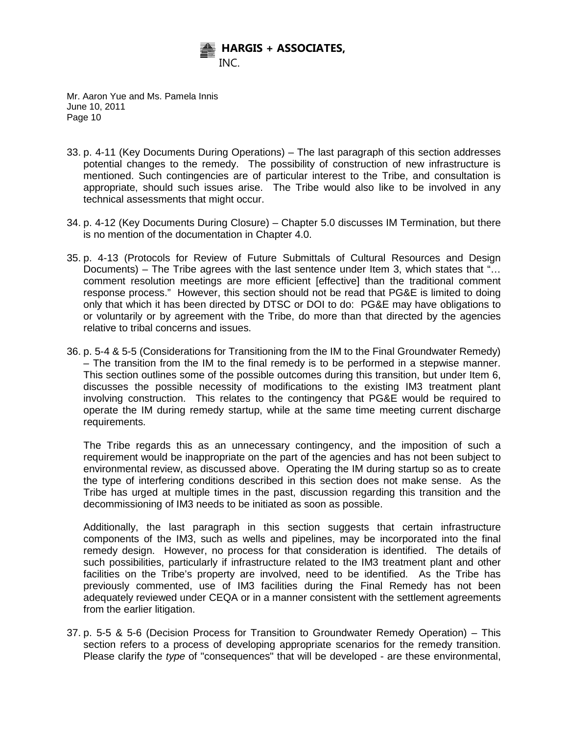

- 33. p. 4-11 (Key Documents During Operations) The last paragraph of this section addresses potential changes to the remedy. The possibility of construction of new infrastructure is mentioned. Such contingencies are of particular interest to the Tribe, and consultation is appropriate, should such issues arise. The Tribe would also like to be involved in any technical assessments that might occur.
- 34. p. 4-12 (Key Documents During Closure) Chapter 5.0 discusses IM Termination, but there is no mention of the documentation in Chapter 4.0.
- 35. p. 4-13 (Protocols for Review of Future Submittals of Cultural Resources and Design Documents) – The Tribe agrees with the last sentence under Item 3, which states that "… comment resolution meetings are more efficient [effective] than the traditional comment response process." However, this section should not be read that PG&E is limited to doing only that which it has been directed by DTSC or DOI to do: PG&E may have obligations to or voluntarily or by agreement with the Tribe, do more than that directed by the agencies relative to tribal concerns and issues.
- 36. p. 5-4 & 5-5 (Considerations for Transitioning from the IM to the Final Groundwater Remedy) – The transition from the IM to the final remedy is to be performed in a stepwise manner. This section outlines some of the possible outcomes during this transition, but under Item 6, discusses the possible necessity of modifications to the existing IM3 treatment plant involving construction. This relates to the contingency that PG&E would be required to operate the IM during remedy startup, while at the same time meeting current discharge requirements.

The Tribe regards this as an unnecessary contingency, and the imposition of such a requirement would be inappropriate on the part of the agencies and has not been subject to environmental review, as discussed above. Operating the IM during startup so as to create the type of interfering conditions described in this section does not make sense. As the Tribe has urged at multiple times in the past, discussion regarding this transition and the decommissioning of IM3 needs to be initiated as soon as possible.

Additionally, the last paragraph in this section suggests that certain infrastructure components of the IM3, such as wells and pipelines, may be incorporated into the final remedy design. However, no process for that consideration is identified. The details of such possibilities, particularly if infrastructure related to the IM3 treatment plant and other facilities on the Tribe's property are involved, need to be identified. As the Tribe has previously commented, use of IM3 facilities during the Final Remedy has not been adequately reviewed under CEQA or in a manner consistent with the settlement agreements from the earlier litigation.

37. p. 5-5 & 5-6 (Decision Process for Transition to Groundwater Remedy Operation) – This section refers to a process of developing appropriate scenarios for the remedy transition. Please clarify the *type* of "consequences" that will be developed - are these environmental,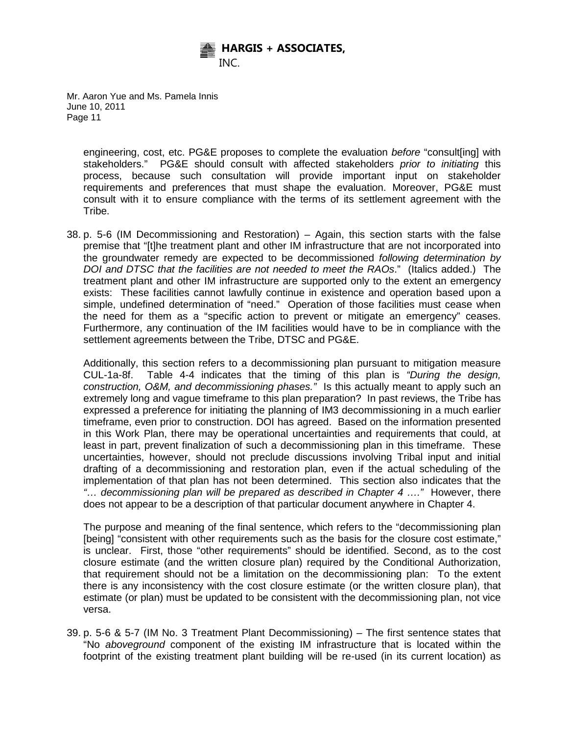

> engineering, cost, etc. PG&E proposes to complete the evaluation *before* "consult[ing] with stakeholders." PG&E should consult with affected stakeholders *prior to initiating* this process, because such consultation will provide important input on stakeholder requirements and preferences that must shape the evaluation. Moreover, PG&E must consult with it to ensure compliance with the terms of its settlement agreement with the Tribe.

38. p. 5-6 (IM Decommissioning and Restoration) – Again, this section starts with the false premise that "[t]he treatment plant and other IM infrastructure that are not incorporated into the groundwater remedy are expected to be decommissioned *following determination by DOI and DTSC that the facilities are not needed to meet the RAOs*." (Italics added.) The treatment plant and other IM infrastructure are supported only to the extent an emergency exists: These facilities cannot lawfully continue in existence and operation based upon a simple, undefined determination of "need." Operation of those facilities must cease when the need for them as a "specific action to prevent or mitigate an emergency" ceases. Furthermore, any continuation of the IM facilities would have to be in compliance with the settlement agreements between the Tribe, DTSC and PG&E.

Additionally, this section refers to a decommissioning plan pursuant to mitigation measure CUL-1a-8f. Table 4-4 indicates that the timing of this plan is *"During the design, construction, O&M, and decommissioning phases."* Is this actually meant to apply such an extremely long and vague timeframe to this plan preparation? In past reviews, the Tribe has expressed a preference for initiating the planning of IM3 decommissioning in a much earlier timeframe, even prior to construction. DOI has agreed. Based on the information presented in this Work Plan, there may be operational uncertainties and requirements that could, at least in part, prevent finalization of such a decommissioning plan in this timeframe. These uncertainties, however, should not preclude discussions involving Tribal input and initial drafting of a decommissioning and restoration plan, even if the actual scheduling of the implementation of that plan has not been determined. This section also indicates that the *"… decommissioning plan will be prepared as described in Chapter 4 …."* However, there does not appear to be a description of that particular document anywhere in Chapter 4.

The purpose and meaning of the final sentence, which refers to the "decommissioning plan [being] "consistent with other requirements such as the basis for the closure cost estimate," is unclear. First, those "other requirements" should be identified. Second, as to the cost closure estimate (and the written closure plan) required by the Conditional Authorization, that requirement should not be a limitation on the decommissioning plan: To the extent there is any inconsistency with the cost closure estimate (or the written closure plan), that estimate (or plan) must be updated to be consistent with the decommissioning plan, not vice versa.

39. p. 5-6 & 5-7 (IM No. 3 Treatment Plant Decommissioning) – The first sentence states that "No *aboveground* component of the existing IM infrastructure that is located within the footprint of the existing treatment plant building will be re-used (in its current location) as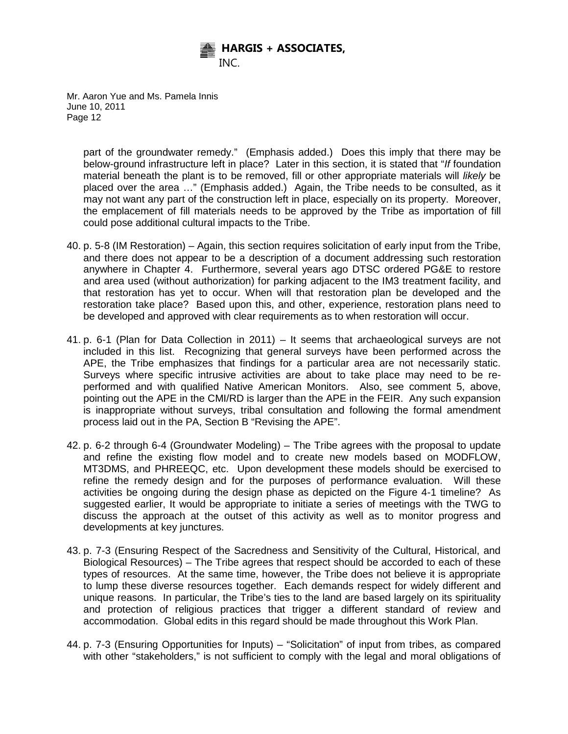

> part of the groundwater remedy." (Emphasis added.) Does this imply that there may be below-ground infrastructure left in place? Later in this section, it is stated that "*If* foundation material beneath the plant is to be removed, fill or other appropriate materials will *likely* be placed over the area …" (Emphasis added.) Again, the Tribe needs to be consulted, as it may not want any part of the construction left in place, especially on its property. Moreover, the emplacement of fill materials needs to be approved by the Tribe as importation of fill could pose additional cultural impacts to the Tribe.

- 40. p. 5-8 (IM Restoration) Again, this section requires solicitation of early input from the Tribe, and there does not appear to be a description of a document addressing such restoration anywhere in Chapter 4. Furthermore, several years ago DTSC ordered PG&E to restore and area used (without authorization) for parking adjacent to the IM3 treatment facility, and that restoration has yet to occur. When will that restoration plan be developed and the restoration take place? Based upon this, and other, experience, restoration plans need to be developed and approved with clear requirements as to when restoration will occur.
- 41. p. 6-1 (Plan for Data Collection in 2011) It seems that archaeological surveys are not included in this list. Recognizing that general surveys have been performed across the APE, the Tribe emphasizes that findings for a particular area are not necessarily static. Surveys where specific intrusive activities are about to take place may need to be reperformed and with qualified Native American Monitors. Also, see comment 5, above, pointing out the APE in the CMI/RD is larger than the APE in the FEIR. Any such expansion is inappropriate without surveys, tribal consultation and following the formal amendment process laid out in the PA, Section B "Revising the APE".
- 42. p. 6-2 through 6-4 (Groundwater Modeling) The Tribe agrees with the proposal to update and refine the existing flow model and to create new models based on MODFLOW, MT3DMS, and PHREEQC, etc. Upon development these models should be exercised to refine the remedy design and for the purposes of performance evaluation. Will these activities be ongoing during the design phase as depicted on the Figure 4-1 timeline? As suggested earlier, It would be appropriate to initiate a series of meetings with the TWG to discuss the approach at the outset of this activity as well as to monitor progress and developments at key junctures.
- 43. p. 7-3 (Ensuring Respect of the Sacredness and Sensitivity of the Cultural, Historical, and Biological Resources) – The Tribe agrees that respect should be accorded to each of these types of resources. At the same time, however, the Tribe does not believe it is appropriate to lump these diverse resources together. Each demands respect for widely different and unique reasons. In particular, the Tribe's ties to the land are based largely on its spirituality and protection of religious practices that trigger a different standard of review and accommodation. Global edits in this regard should be made throughout this Work Plan.
- 44. p. 7-3 (Ensuring Opportunities for Inputs) "Solicitation" of input from tribes, as compared with other "stakeholders," is not sufficient to comply with the legal and moral obligations of